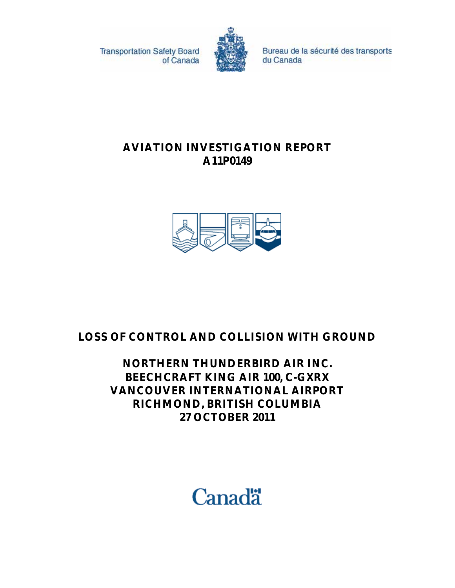**Transportation Safety Board** of Canada



Bureau de la sécurité des transports du Canada

# **AVIATION INVESTIGATION REPORT A11P0149**



# **LOSS OF CONTROL AND COLLISION WITH GROUND**

# **NORTHERN THUNDERBIRD AIR INC. BEECHCRAFT KING AIR 100, C-GXRX VANCOUVER INTERNATIONAL AIRPORT RICHMOND, BRITISH COLUMBIA 27 OCTOBER 2011**

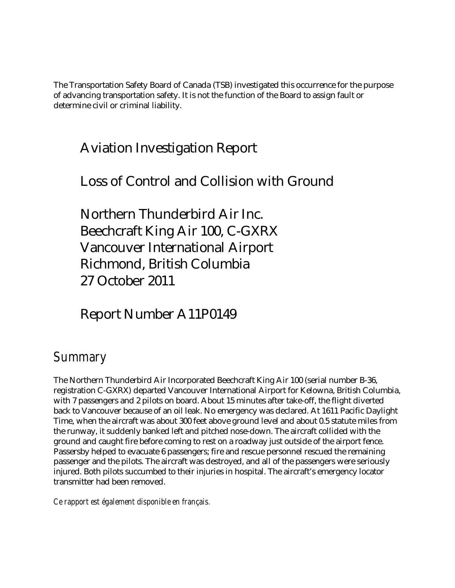The Transportation Safety Board of Canada (TSB) investigated this occurrence for the purpose of advancing transportation safety. It is not the function of the Board to assign fault or determine civil or criminal liability.

# Aviation Investigation Report

# Loss of Control and Collision with Ground

Northern Thunderbird Air Inc. Beechcraft King Air 100, C-GXRX Vancouver International Airport Richmond, British Columbia 27 October 2011

# Report Number A11P0149

# *Summary*

The Northern Thunderbird Air Incorporated Beechcraft King Air 100 (serial number B-36, registration C-GXRX) departed Vancouver International Airport for Kelowna, British Columbia, with 7 passengers and 2 pilots on board. About 15 minutes after take-off, the flight diverted back to Vancouver because of an oil leak. No emergency was declared. At 1611 Pacific Daylight Time, when the aircraft was about 300 feet above ground level and about 0.5 statute miles from the runway, it suddenly banked left and pitched nose-down. The aircraft collided with the ground and caught fire before coming to rest on a roadway just outside of the airport fence. Passersby helped to evacuate 6 passengers; fire and rescue personnel rescued the remaining passenger and the pilots. The aircraft was destroyed, and all of the passengers were seriously injured. Both pilots succumbed to their injuries in hospital. The aircraft's emergency locator transmitter had been removed.

*Ce rapport est également disponible en français.*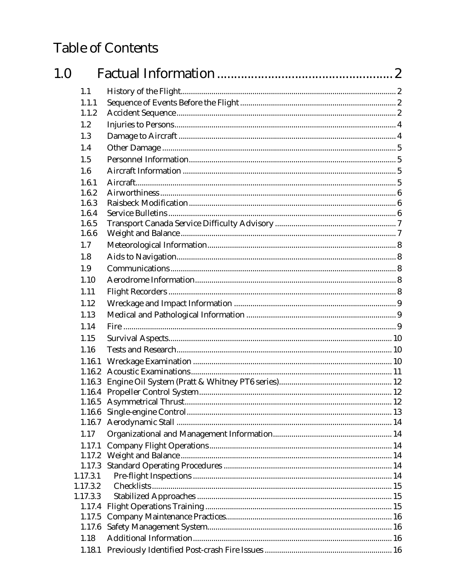# **Table of Contents**

| 1.0 |                  |  |
|-----|------------------|--|
|     | 1.1              |  |
|     | 1.1.1            |  |
|     | 1.1.2            |  |
|     | 1.2              |  |
|     | 1.3              |  |
|     | 1.4              |  |
|     | 1.5              |  |
|     | 1.6              |  |
|     | 1.6.1            |  |
|     | 1.6.2            |  |
|     | 1.6.3            |  |
|     | 1.6.4            |  |
|     | 1.6.5            |  |
|     | 1.6.6            |  |
|     | 1.7              |  |
|     | 1.8              |  |
|     | 1.9              |  |
|     | 1.10             |  |
|     | 1.11             |  |
|     | 1.12             |  |
|     | 1.13             |  |
|     | 1.14             |  |
|     | 1.15             |  |
|     | 1.16             |  |
|     | 1.16.1           |  |
|     | 1.16.2           |  |
|     | 1.16.3           |  |
|     |                  |  |
|     |                  |  |
|     | 1.16.6           |  |
|     | 1.16.7           |  |
|     | 1.17             |  |
|     | 1.17.1           |  |
|     | 1.17.2           |  |
|     | 1.17.3           |  |
|     | 1.17.3.1         |  |
|     | 1.17.3.2         |  |
|     | 1.17.3.3         |  |
|     | 1.17.4           |  |
|     | 1.17.5<br>1.17.6 |  |
|     |                  |  |
|     | 1.18             |  |
|     |                  |  |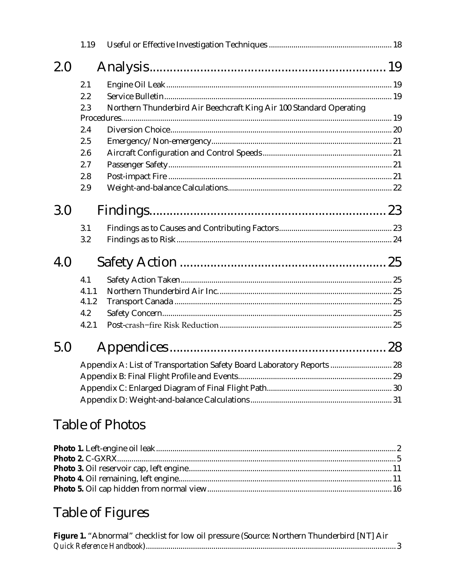|     | 1.19  |                                                                        |  |
|-----|-------|------------------------------------------------------------------------|--|
| 2.0 |       |                                                                        |  |
|     | 2.1   |                                                                        |  |
|     | 2.2   |                                                                        |  |
|     | 2.3   | Northern Thunderbird Air Beechcraft King Air 100 Standard Operating    |  |
|     |       |                                                                        |  |
|     | 2.4   |                                                                        |  |
|     | 2.5   |                                                                        |  |
|     | 2.6   |                                                                        |  |
|     | 2.7   |                                                                        |  |
|     | 2.8   |                                                                        |  |
|     | 2.9   |                                                                        |  |
| 3.0 |       |                                                                        |  |
|     | 3.1   |                                                                        |  |
|     | 3.2   |                                                                        |  |
| 4.0 |       |                                                                        |  |
|     | 4.1   |                                                                        |  |
|     | 4.1.1 |                                                                        |  |
|     | 4.1.2 |                                                                        |  |
|     | 4.2   |                                                                        |  |
|     | 4.2.1 |                                                                        |  |
| 5.0 |       |                                                                        |  |
|     |       | Appendix A: List of Transportation Safety Board Laboratory Reports  28 |  |
|     |       |                                                                        |  |
|     |       |                                                                        |  |
|     |       |                                                                        |  |

# **Table of Photos**

# Table of Figures

| Figure 1. "Abnormal" checklist for low oil pressure (Source: Northern Thunderbird [NT] Air |  |
|--------------------------------------------------------------------------------------------|--|
|                                                                                            |  |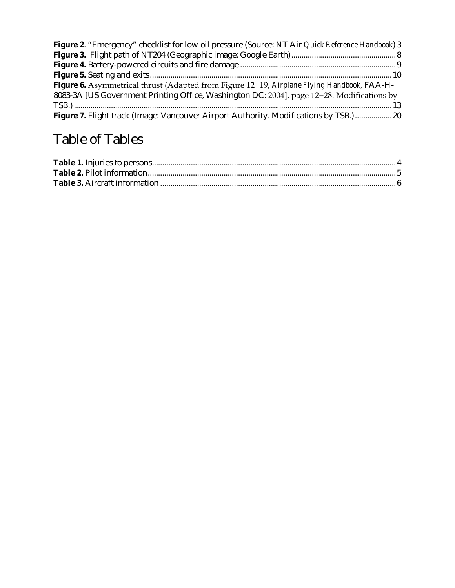| <b>Figure 2.</b> "Emergency" checklist for low oil pressure (Source: NT Air Quick Reference Handbook) 3 |  |
|---------------------------------------------------------------------------------------------------------|--|
|                                                                                                         |  |
|                                                                                                         |  |
|                                                                                                         |  |
| Figure 6. Asymmetrical thrust (Adapted from Figure 12-19, Airplane Flying Handbook, FAA-H-              |  |
| 8083-3A [US Government Printing Office, Washington DC: 2004], page 12-28. Modifications by              |  |
|                                                                                                         |  |
| Figure 7. Flight track (Image: Vancouver Airport Authority. Modifications by TSB.)  20                  |  |

# Table of Tables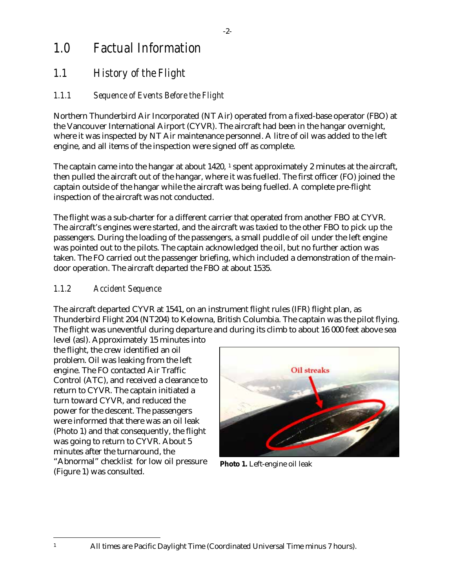# <span id="page-5-0"></span>*1.0 Factual Information*

# <span id="page-5-1"></span>*1.1 History of the Flight*

#### <span id="page-5-2"></span>*1.1.1 Sequence of Events Before the Flight*

Northern Thunderbird Air Incorporated (NT Air) operated from a fixed-base operator (FBO) at the Vancouver International Airport (CYVR). The aircraft had been in the hangar overnight, where it was inspected by NT Air maintenance personnel. A litre of oil was added to the left engine, and all items of the inspection were signed off as complete.

The captain came into the hangar at about [1](#page-5-4)420, 1 spent approximately 2 minutes at the aircraft, then pulled the aircraft out of the hangar, where it was fuelled. The first officer (FO) joined the captain outside of the hangar while the aircraft was being fuelled. A complete pre-flight inspection of the aircraft was not conducted.

The flight was a sub-charter for a different carrier that operated from another FBO at CYVR. The aircraft's engines were started, and the aircraft was taxied to the other FBO to pick up the passengers. During the loading of the passengers, a small puddle of oil under the left engine was pointed out to the pilots. The captain acknowledged the oil, but no further action was taken. The FO carried out the passenger briefing, which included a demonstration of the maindoor operation. The aircraft departed the FBO at about 1535.

#### <span id="page-5-3"></span>*1.1.2 Accident Sequence*

The aircraft departed CYVR at 1541, on an instrument flight rules (IFR) flight plan, as Thunderbird Flight 204 (NT204) to Kelowna, British Columbia. The captain was the pilot flying. The flight was uneventful during departure and during its climb to about 16 000 feet above sea

level (asl). Approximately 15 minutes into the flight, the crew identified an oil problem. Oil was leaking from the left engine. The FO contacted Air Traffic Control (ATC), and received a clearance to return to CYVR. The captain initiated a turn toward CYVR, and reduced the power for the descent. The passengers were informed that there was an oil leak (Photo 1) and that consequently, the flight was going to return to CYVR. About 5 minutes after the turnaround, the "Abnormal" checklist for low oil pressure [\(Figure 1\)](#page-6-0) was consulted.



**Photo 1.** Left-engine oil leak

<span id="page-5-4"></span>1 All times are Pacific Daylight Time (Coordinated Universal Time minus 7 hours).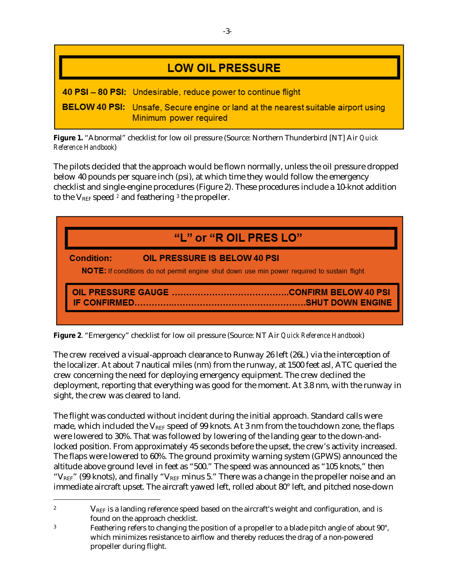| <b>LOW OIL PRESSURE</b>                                                                                            |
|--------------------------------------------------------------------------------------------------------------------|
| 40 PSI - 80 PSI: Undesirable, reduce power to continue flight                                                      |
| <b>BELOW 40 PSI:</b> Unsafe, Secure engine or land at the nearest suitable airport using<br>Minimum power required |

<span id="page-6-0"></span>**Figure 1.** "Abnormal" checklist for low oil pressure (Source: Northern Thunderbird [NT] Air *Quick Reference Handbook*)

The pilots decided that the approach would be flown normally, unless the oil pressure dropped below 40 pounds per square inch (psi), at which time they would follow the emergency checklist and single-engine procedures (Figure 2). These procedures include a 10-knot addition to the  $V_{REF}$  speed  $\ell$  and feathering  $\ell$  the propeller.



<span id="page-6-1"></span>**Figure 2**. "Emergency" checklist for low oil pressure (Source: NT Air *Quick Reference Handbook*)

The crew received a visual-approach clearance to Runway 26 left (26L) via the interception of the localizer. At about 7 nautical miles (nm) from the runway, at 1500 feet asl, ATC queried the crew concerning the need for deploying emergency equipment. The crew declined the deployment, reporting that everything was good for the moment. At 3.8 nm, with the runway in sight, the crew was cleared to land.

The flight was conducted without incident during the initial approach. Standard calls were made, which included the  $V_{REF}$  speed of 99 knots. At 3 nm from the touchdown zone, the flaps were lowered to 30%. That was followed by lowering of the landing gear to the down-andlocked position. From approximately 45 seconds before the upset, the crew's activity increased. The flaps were lowered to 60%. The ground proximity warning system (GPWS) announced the altitude above ground level in feet as "500." The speed was announced as "105 knots," then " $V_{REF}$ " (99 knots), and finally " $V_{REF}$  minus 5." There was a change in the propeller noise and an immediate aircraft upset. The aircraft yawed left, rolled about 80° left, and pitched nose-down

 $\overline{a}$ 

<span id="page-6-2"></span><sup>&</sup>lt;sup>2</sup>  $V_{\text{REF}}$  is a landing reference speed based on the aircraft's weight and configuration, and is found on the approach checklist.

<span id="page-6-3"></span><sup>3</sup> Feathering refers to changing the position of a propeller to a blade pitch angle of about 90°, which minimizes resistance to airflow and thereby reduces the drag of a non-powered propeller during flight.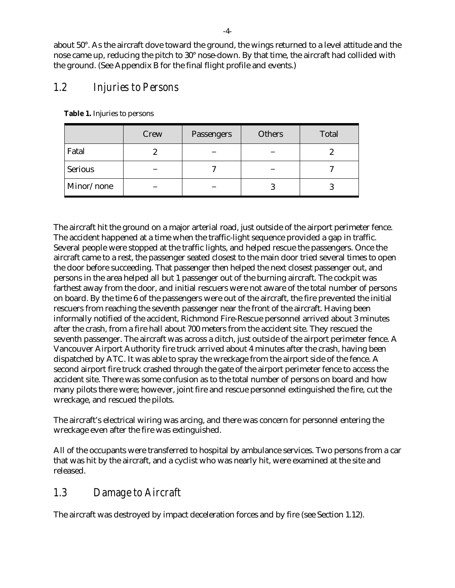about 50°. As the aircraft dove toward the ground, the wings returned to a level attitude and the nose came up, reducing the pitch to 30° nose-down. By that time, the aircraft had collided with the ground. (See Appendix B for the final flight profile and events.)

## <span id="page-7-0"></span>*1.2 Injuries to Persons*

|                | Crew | Passengers | <b>Others</b> | <b>Total</b> |
|----------------|------|------------|---------------|--------------|
| Fatal          |      |            |               |              |
| <b>Serious</b> |      |            |               |              |
| Minor/none     |      |            |               |              |

<span id="page-7-2"></span>**Table 1.** Injuries to persons

The aircraft hit the ground on a major arterial road, just outside of the airport perimeter fence. The accident happened at a time when the traffic-light sequence provided a gap in traffic. Several people were stopped at the traffic lights, and helped rescue the passengers. Once the aircraft came to a rest, the passenger seated closest to the main door tried several times to open the door before succeeding. That passenger then helped the next closest passenger out, and persons in the area helped all but 1 passenger out of the burning aircraft. The cockpit was farthest away from the door, and initial rescuers were not aware of the total number of persons on board. By the time 6 of the passengers were out of the aircraft, the fire prevented the initial rescuers from reaching the seventh passenger near the front of the aircraft. Having been informally notified of the accident, Richmond Fire-Rescue personnel arrived about 3 minutes after the crash, from a fire hall about 700 meters from the accident site. They rescued the seventh passenger. The aircraft was across a ditch, just outside of the airport perimeter fence. A Vancouver Airport Authority fire truck arrived about 4 minutes after the crash, having been dispatched by ATC. It was able to spray the wreckage from the airport side of the fence. A second airport fire truck crashed through the gate of the airport perimeter fence to access the accident site. There was some confusion as to the total number of persons on board and how many pilots there were; however, joint fire and rescue personnel extinguished the fire, cut the wreckage, and rescued the pilots.

The aircraft's electrical wiring was arcing, and there was concern for personnel entering the wreckage even after the fire was extinguished.

All of the occupants were transferred to hospital by ambulance services. Two persons from a car that was hit by the aircraft, and a cyclist who was nearly hit, were examined at the site and released.

### <span id="page-7-1"></span>*1.3 Damage to Aircraft*

The aircraft was destroyed by impact deceleration forces and by fire (see Section 1.12).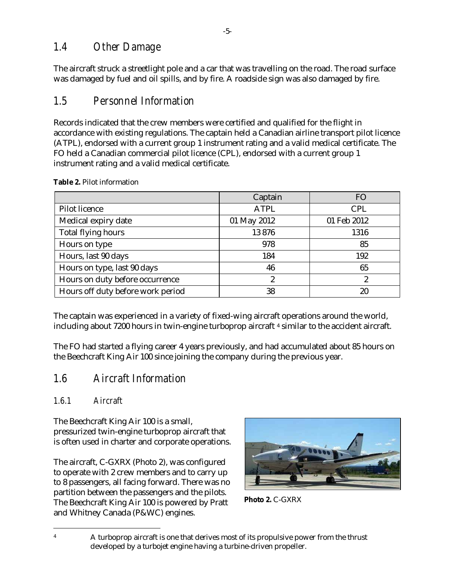### <span id="page-8-0"></span>*1.4 Other Damage*

The aircraft struck a streetlight pole and a car that was travelling on the road. The road surface was damaged by fuel and oil spills, and by fire. A roadside sign was also damaged by fire.

# <span id="page-8-1"></span>*1.5 Personnel Information*

Records indicated that the crew members were certified and qualified for the flight in accordance with existing regulations. The captain held a Canadian airline transport pilot licence (ATPL), endorsed with a current group 1 instrument rating and a valid medical certificate. The FO held a Canadian commercial pilot licence (CPL), endorsed with a current group 1 instrument rating and a valid medical certificate.

|                                   | Captain     | <b>FO</b>   |
|-----------------------------------|-------------|-------------|
| <b>Pilot licence</b>              | <b>ATPL</b> | <b>CPL</b>  |
| Medical expiry date               | 01 May 2012 | 01 Feb 2012 |
| Total flying hours                | 13876       | 1316        |
| Hours on type                     | 978         | 85          |
| Hours, last 90 days               | 184         | 192         |
| Hours on type, last 90 days       | 46          | 65          |
| Hours on duty before occurrence   | 2           | 2           |
| Hours off duty before work period | 38          | 20          |

<span id="page-8-5"></span>**Table 2.** Pilot information

The captain was experienced in a variety of fixed-wing aircraft operations around the world, including about 7200 hours in twin-engine turboprop aircraft [4](#page-8-6) similar to the accident aircraft.

The FO had started a flying career 4 years previously, and had accumulated about 85 hours on the Beechcraft King Air 100 since joining the company during the previous year.

# <span id="page-8-2"></span>*1.6 Aircraft Information*

### <span id="page-8-3"></span>*1.6.1 Aircraft*

The Beechcraft King Air 100 is a small, pressurized twin-engine turboprop aircraft that is often used in charter and corporate operations.

The aircraft, C-GXRX [\(Photo 2\)](#page-8-4), was configured to operate with 2 crew members and to carry up to 8 passengers, all facing forward. There was no partition between the passengers and the pilots. The Beechcraft King Air 100 is powered by Pratt and Whitney Canada (P&WC) engines.



<span id="page-8-4"></span>

 <sup>4</sup> <sup>A</sup> turboprop aircraft is one that derives most of its propulsive power from the thrust developed by a turbojet engine having a turbine-driven propeller.

<span id="page-8-6"></span>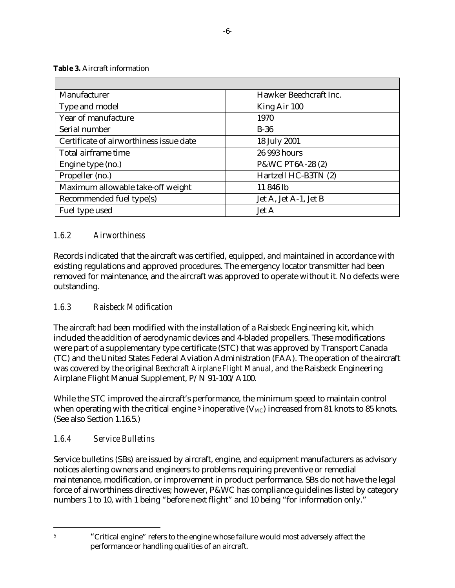<span id="page-9-3"></span>**Table 3.** Aircraft information

| Manufacturer                            | Hawker Beechcraft Inc. |
|-----------------------------------------|------------------------|
| Type and model                          | King Air 100           |
| Year of manufacture                     | 1970                   |
| Serial number                           | $B-36$                 |
| Certificate of airworthiness issue date | 18 July 2001           |
| Total airframe time                     | 26 993 hours           |
| Engine type (no.)                       | P&WC PT6A-28 (2)       |
| Propeller (no.)                         | Hartzell HC-B3TN (2)   |
| Maximum allowable take-off weight       | 11 846 lb              |
| Recommended fuel type(s)                | Jet A, Jet A-1, Jet B  |
| Fuel type used                          | <b>Jet A</b>           |

#### <span id="page-9-0"></span>*1.6.2 Airworthiness*

Records indicated that the aircraft was certified, equipped, and maintained in accordance with existing regulations and approved procedures. The emergency locator transmitter had been removed for maintenance, and the aircraft was approved to operate without it. No defects were outstanding.

#### <span id="page-9-1"></span>*1.6.3 Raisbeck Modification*

The aircraft had been modified with the installation of a Raisbeck Engineering kit, which included the addition of aerodynamic devices and 4-bladed propellers. These modifications were part of a supplementary type certificate (STC) that was approved by Transport Canada (TC) and the United States Federal Aviation Administration (FAA). The operation of the aircraft was covered by the original *Beechcraft Airplane Flight Manual*, and the Raisbeck Engineering Airplane Flight Manual Supplement, P/N 91-100/A100.

While the STC improved the aircraft's performance, the minimum speed to maintain control when operating with the critical engine  $5$  inoperative ( $V_{MC}$ ) increased from 81 knots to 85 knots. (See also Section 1.16.5.)

#### <span id="page-9-2"></span>*1.6.4 Service Bulletins*

 $\overline{a}$ 

Service bulletins (SBs) are issued by aircraft, engine, and equipment manufacturers as advisory notices alerting owners and engineers to problems requiring preventive or remedial maintenance, modification, or improvement in product performance. SBs do not have the legal force of airworthiness directives; however, P&WC has compliance guidelines listed by category numbers 1 to 10, with 1 being "before next flight" and 10 being "for information only."

<span id="page-9-4"></span><sup>&</sup>lt;sup>5</sup> "Critical engine" refers to the engine whose failure would most adversely affect the performance or handling qualities of an aircraft.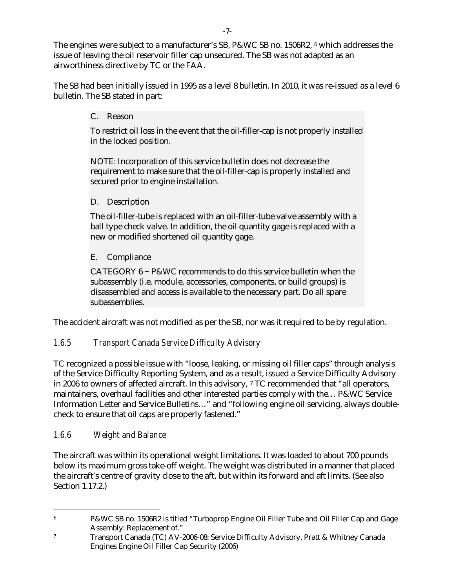The engines were subject to a manufacturer's SB, P&WC SB no. 150[6](#page-10-2)R2, <sup>6</sup> which addresses the issue of leaving the oil reservoir filler cap unsecured. The SB was not adapted as an airworthiness directive by TC or the FAA.

The SB had been initially issued in 1995 as a level 8 bulletin. In 2010, it was re-issued as a level 6 bulletin. The SB stated in part:

C. Reason

To restrict oil loss in the event that the oil-filler-cap is not properly installed in the locked position.

NOTE: Incorporation of this service bulletin does not decrease the requirement to make sure that the oil-filler-cap is properly installed and secured prior to engine installation.

D. Description

The oil-filler-tube is replaced with an oil-filler-tube valve assembly with a ball type check valve. In addition, the oil quantity gage is replaced with a new or modified shortened oil quantity gage.

#### E. Compliance

CATEGORY 6 − P&WC recommends to do this service bulletin when the subassembly (i.e. module, accessories, components, or build groups) is disassembled and access is available to the necessary part. Do all spare subassemblies.

The accident aircraft was not modified as per the SB, nor was it required to be by regulation.

#### <span id="page-10-0"></span>*1.6.5 Transport Canada Service Difficulty Advisory*

TC recognized a possible issue with "loose, leaking, or missing oil filler caps" through analysis of the Service Difficulty Reporting System, and as a result, issued a Service Difficulty Advisory in 2006 to owners of affected aircraft. In this advisory, [7](#page-10-3) TC recommended that "all operators, maintainers, overhaul facilities and other interested parties comply with the… P&WC Service Information Letter and Service Bulletins…" and "following engine oil servicing, always doublecheck to ensure that oil caps are properly fastened."

#### <span id="page-10-1"></span>*1.6.6 Weight and Balance*

The aircraft was within its operational weight limitations. It was loaded to about 700 pounds below its maximum gross take-off weight. The weight was distributed in a manner that placed the aircraft's centre of gravity close to the aft, but within its forward and aft limits. (See also Section 1.17.2.)

<span id="page-10-2"></span> <sup>6</sup> P&WC SB no. 1506R2 is titled "Turboprop Engine Oil Filler Tube and Oil Filler Cap and Gage Assembly: Replacement of."

<span id="page-10-3"></span><sup>7</sup> Transport Canada (TC) AV-2006-08: Service Difficulty Advisory, Pratt & Whitney Canada Engines Engine Oil Filler Cap Security (2006)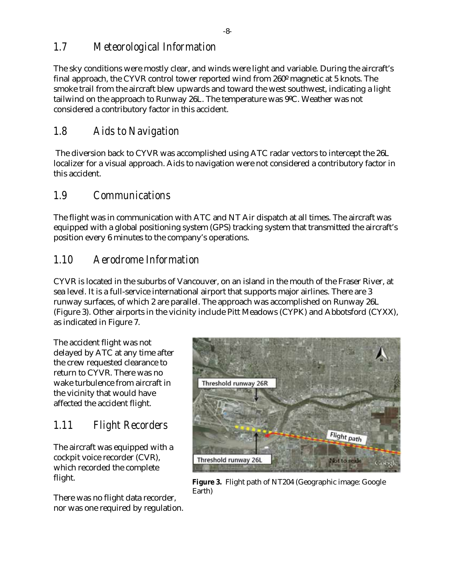### <span id="page-11-0"></span>*1.7 Meteorological Information*

The sky conditions were mostly clear, and winds were light and variable. During the aircraft's final approach, the CYVR control tower reported wind from 260º magnetic at 5 knots. The smoke trail from the aircraft blew upwards and toward the west southwest, indicating a light tailwind on the approach to Runway 26L. The temperature was 9ºC. Weather was not considered a contributory factor in this accident.

### <span id="page-11-1"></span>*1.8 Aids to Navigation*

The diversion back to CYVR was accomplished using ATC radar vectors to intercept the 26L localizer for a visual approach. Aids to navigation were not considered a contributory factor in this accident.

#### <span id="page-11-2"></span>*1.9 Communications*

The flight was in communication with ATC and NT Air dispatch at all times. The aircraft was equipped with a global positioning system (GPS) tracking system that transmitted the aircraft's position every 6 minutes to the company's operations.

### <span id="page-11-3"></span>*1.10 Aerodrome Information*

CYVR is located in the suburbs of Vancouver, on an island in the mouth of the Fraser River, at sea level. It is a full-service international airport that supports major airlines. There are 3 runway surfaces, of which 2 are parallel. The approach was accomplished on Runway 26L (Figure 3). Other airports in the vicinity include Pitt Meadows (CYPK) and Abbotsford (CYXX), as indicated in [Figure 7.](#page-23-1)

The accident flight was not delayed by ATC at any time after the crew requested clearance to return to CYVR. There was no wake turbulence from aircraft in the vicinity that would have affected the accident flight.

# <span id="page-11-4"></span>*1.11 Flight Recorders*

The aircraft was equipped with a cockpit voice recorder (CVR), which recorded the complete flight.

<span id="page-11-5"></span>There was no flight data recorder, nor was one required by regulation.



**Figure 3.** Flight path of NT204 (Geographic image: Google Earth)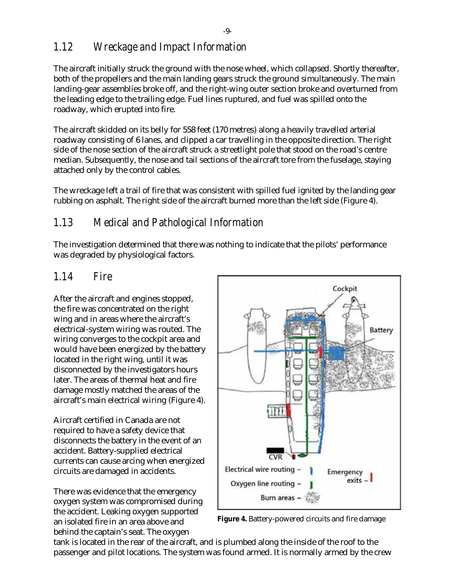## <span id="page-12-0"></span>*1.12 Wreckage and Impact Information*

The aircraft initially struck the ground with the nose wheel, which collapsed. Shortly thereafter, both of the propellers and the main landing gears struck the ground simultaneously. The main landing-gear assemblies broke off, and the right-wing outer section broke and overturned from the leading edge to the trailing edge. Fuel lines ruptured, and fuel was spilled onto the roadway, which erupted into fire.

The aircraft skidded on its belly for 558 feet (170 metres) along a heavily travelled arterial roadway consisting of 6 lanes, and clipped a car travelling in the opposite direction. The right side of the nose section of the aircraft struck a streetlight pole that stood on the road's centre median. Subsequently, the nose and tail sections of the aircraft tore from the fuselage, staying attached only by the control cables.

The wreckage left a trail of fire that was consistent with spilled fuel ignited by the landing gear rubbing on asphalt. The right side of the aircraft burned more than the left side (Figure 4).

### <span id="page-12-1"></span>*1.13 Medical and Pathological Information*

The investigation determined that there was nothing to indicate that the pilots' performance was degraded by physiological factors.

### <span id="page-12-2"></span>*1.14 Fire*

After the aircraft and engines stopped, the fire was concentrated on the right wing and in areas where the aircraft's electrical-system wiring was routed. The wiring converges to the cockpit area and would have been energized by the battery located in the right wing, until it was disconnected by the investigators hours later. The areas of thermal heat and fire damage mostly matched the areas of the aircraft's main electrical wiring (Figure 4).

Aircraft certified in Canada are not required to have a safety device that disconnects the battery in the event of an accident. Battery-supplied electrical currents can cause arcing when energized circuits are damaged in accidents.

There was evidence that the emergency oxygen system was compromised during the accident. Leaking oxygen supported an isolated fire in an area above and behind the captain's seat. The oxygen



<span id="page-12-3"></span>**Figure 4.** Battery-powered circuits and fire damage

tank is located in the rear of the aircraft, and is plumbed along the inside of the roof to the passenger and pilot locations. The system was found armed. It is normally armed by the crew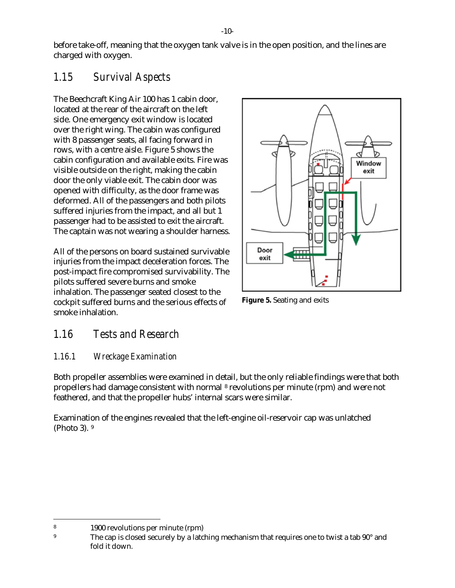before take-off, meaning that the oxygen tank valve is in the open position, and the lines are charged with oxygen.

# <span id="page-13-0"></span>*1.15 Survival Aspects*

The Beechcraft King Air 100 has 1 cabin door, located at the rear of the aircraft on the left side. One emergency exit window is located over the right wing. The cabin was configured with 8 passenger seats, all facing forward in rows, with a centre aisle. Figure 5 shows the cabin configuration and available exits. Fire was visible outside on the right, making the cabin door the only viable exit. The cabin door was opened with difficulty, as the door frame was deformed. All of the passengers and both pilots suffered injuries from the impact, and all but 1 passenger had to be assisted to exit the aircraft. The captain was not wearing a shoulder harness.

All of the persons on board sustained survivable injuries from the impact deceleration forces. The post-impact fire compromised survivability. The pilots suffered severe burns and smoke inhalation. The passenger seated closest to the cockpit suffered burns and the serious effects of smoke inhalation.



<span id="page-13-3"></span>**Figure 5.** Seating and exits

# <span id="page-13-1"></span>*1.16 Tests and Research*

#### <span id="page-13-2"></span>*1.16.1 Wreckage Examination*

Both propeller assemblies were examined in detail, but the only reliable findings were that both propellers had damage consistent with normal [8](#page-13-4) revolutions per minute (rpm) and were not feathered, and that the propeller hubs' internal scars were similar.

Examination of the engines revealed that the left-engine oil-reservoir cap was unlatched [\(Photo 3\)](#page-14-1). [9](#page-13-5)

<span id="page-13-4"></span> <sup>8</sup> 1900 revolutions per minute (rpm)

<span id="page-13-5"></span><sup>&</sup>lt;sup>9</sup> The cap is closed securely by a latching mechanism that requires one to twist a tab 90<sup>°</sup> and fold it down.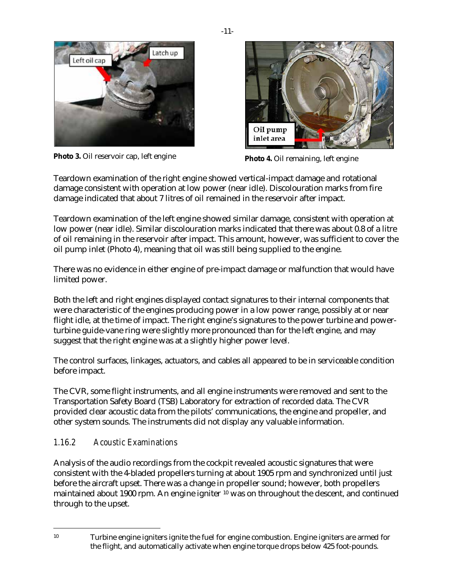

**Photo 3.** Oil reservoir cap, left engine **Photo 4.** Oil remaining, left engine

<span id="page-14-2"></span>

<span id="page-14-1"></span>Teardown examination of the right engine showed vertical-impact damage and rotational damage consistent with operation at low power (near idle). Discolouration marks from fire damage indicated that about 7 litres of oil remained in the reservoir after impact.

Teardown examination of the left engine showed similar damage, consistent with operation at low power (near idle). Similar discolouration marks indicated that there was about 0.8 of a litre of oil remaining in the reservoir after impact. This amount, however, was sufficient to cover the oil pump inlet (Photo 4), meaning that oil was still being supplied to the engine.

There was no evidence in either engine of pre-impact damage or malfunction that would have limited power.

Both the left and right engines displayed contact signatures to their internal components that were characteristic of the engines producing power in a low power range, possibly at or near flight idle, at the time of impact. The right engine's signatures to the power turbine and powerturbine guide-vane ring were slightly more pronounced than for the left engine, and may suggest that the right engine was at a slightly higher power level.

The control surfaces, linkages, actuators, and cables all appeared to be in serviceable condition before impact.

The CVR, some flight instruments, and all engine instruments were removed and sent to the Transportation Safety Board (TSB) Laboratory for extraction of recorded data. The CVR provided clear acoustic data from the pilots' communications, the engine and propeller, and other system sounds. The instruments did not display any valuable information.

#### <span id="page-14-0"></span>*1.16.2 Acoustic Examinations*

Analysis of the audio recordings from the cockpit revealed acoustic signatures that were consistent with the 4-bladed propellers turning at about 1905 rpm and synchronized until just before the aircraft upset. There was a change in propeller sound; however, both propellers maintained about 1900 rpm. An engine igniter [10](#page-14-3) was on throughout the descent, and continued through to the upset.

<span id="page-14-3"></span> <sup>10</sup> Turbine engine igniters ignite the fuel for engine combustion. Engine igniters are armed for the flight, and automatically activate when engine torque drops below 425 foot-pounds.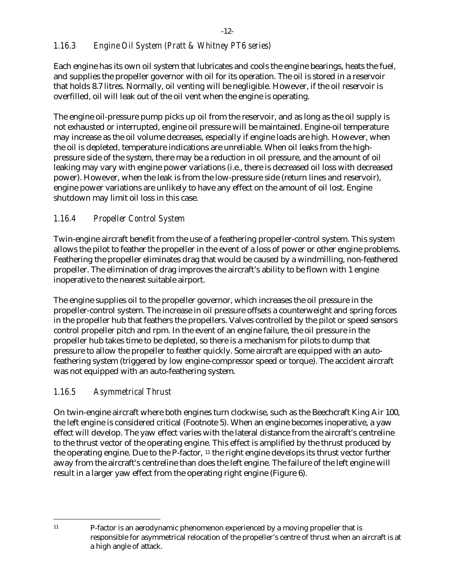#### <span id="page-15-0"></span>*1.16.3 Engine Oil System (Pratt & Whitney PT6 series)*

Each engine has its own oil system that lubricates and cools the engine bearings, heats the fuel, and supplies the propeller governor with oil for its operation. The oil is stored in a reservoir that holds 8.7 litres. Normally, oil venting will be negligible. However, if the oil reservoir is overfilled, oil will leak out of the oil vent when the engine is operating.

The engine oil-pressure pump picks up oil from the reservoir, and as long as the oil supply is not exhausted or interrupted, engine oil pressure will be maintained. Engine-oil temperature may increase as the oil volume decreases, especially if engine loads are high. However, when the oil is depleted, temperature indications are unreliable. When oil leaks from the highpressure side of the system, there may be a reduction in oil pressure, and the amount of oil leaking may vary with engine power variations (i.e., there is decreased oil loss with decreased power). However, when the leak is from the low-pressure side (return lines and reservoir), engine power variations are unlikely to have any effect on the amount of oil lost. Engine shutdown may limit oil loss in this case.

#### <span id="page-15-1"></span>*1.16.4 Propeller Control System*

Twin-engine aircraft benefit from the use of a feathering propeller-control system. This system allows the pilot to feather the propeller in the event of a loss of power or other engine problems. Feathering the propeller eliminates drag that would be caused by a windmilling, non-feathered propeller. The elimination of drag improves the aircraft's ability to be flown with 1 engine inoperative to the nearest suitable airport.

The engine supplies oil to the propeller governor, which increases the oil pressure in the propeller-control system. The increase in oil pressure offsets a counterweight and spring forces in the propeller hub that feathers the propellers. Valves controlled by the pilot or speed sensors control propeller pitch and rpm. In the event of an engine failure, the oil pressure in the propeller hub takes time to be depleted, so there is a mechanism for pilots to dump that pressure to allow the propeller to feather quickly. Some aircraft are equipped with an autofeathering system (triggered by low engine-compressor speed or torque). The accident aircraft was not equipped with an auto-feathering system.

#### <span id="page-15-2"></span>*1.16.5 Asymmetrical Thrust*

On twin-engine aircraft where both engines turn clockwise, such as the Beechcraft King Air 100, the left engine is considered critical (Footnote 5). When an engine becomes inoperative, a yaw effect will develop. The yaw effect varies with the lateral distance from the aircraft's centreline to the thrust vector of the operating engine. This effect is amplified by the thrust produced by the operating engine. Due to the P-factor, [11](#page-15-3) the right engine develops its thrust vector further away from the aircraft's centreline than does the left engine. The failure of the left engine will result in a larger yaw effect from the operating right engine [\(Figure 6\)](#page-16-1).

<span id="page-15-3"></span> <sup>11</sup> P-factor is an aerodynamic phenomenon experienced by a moving propeller that is responsible for asymmetrical relocation of the propeller's centre of thrust when an aircraft is at a high angle of attack.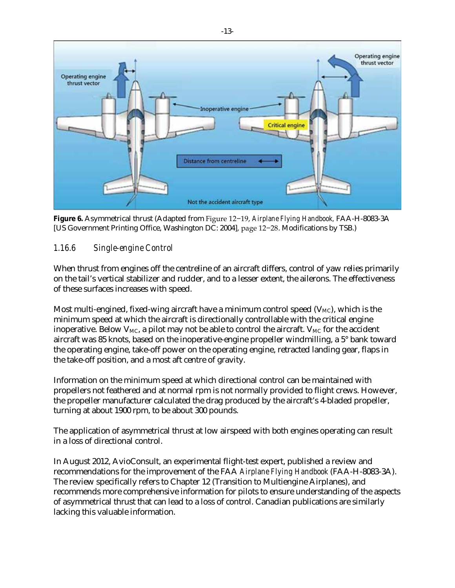

<span id="page-16-1"></span>**Figure 6.** Asymmetrical thrust (Adapted from Figure 12−19, *Airplane Flying Handbook,* FAA-H-8083-3A [US Government Printing Office, Washington DC: 2004], page 12−28. Modifications by TSB.)

#### <span id="page-16-0"></span>*1.16.6 Single-engine Control*

When thrust from engines off the centreline of an aircraft differs, control of yaw relies primarily on the tail's vertical stabilizer and rudder, and to a lesser extent, the ailerons. The effectiveness of these surfaces increases with speed.

Most multi-engined, fixed-wing aircraft have a minimum control speed  $(V_{MC})$ , which is the minimum speed at which the aircraft is directionally controllable with the critical engine inoperative. Below  $V_{MC}$ , a pilot may not be able to control the aircraft.  $V_{MC}$  for the accident aircraft was 85 knots, based on the inoperative-engine propeller windmilling, a 5° bank toward the operating engine, take-off power on the operating engine, retracted landing gear, flaps in the take-off position, and a most aft centre of gravity.

Information on the minimum speed at which directional control can be maintained with propellers not feathered and at normal rpm is not normally provided to flight crews. However, the propeller manufacturer calculated the drag produced by the aircraft's 4-bladed propeller, turning at about 1900 rpm, to be about 300 pounds.

The application of asymmetrical thrust at low airspeed with both engines operating can result in a loss of directional control.

In August 2012, AvioConsult, an experimental flight-test expert, published a review and recommendations for the improvement of the FAA *Airplane Flying Handbook* (FAA-H-8083-3A). The review specifically refers to Chapter 12 (Transition to Multiengine Airplanes), and recommends more comprehensive information for pilots to ensure understanding of the aspects of asymmetrical thrust that can lead to a loss of control. Canadian publications are similarly lacking this valuable information.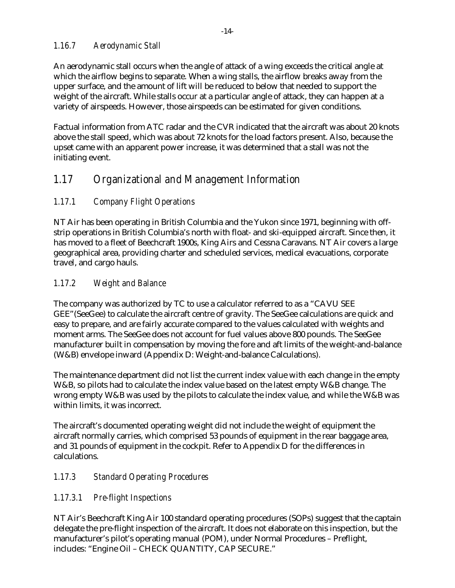#### <span id="page-17-0"></span>*1.16.7 Aerodynamic Stall*

An aerodynamic stall occurs when the angle of attack of a wing exceeds the critical angle at which the airflow begins to separate. When a wing stalls, the airflow breaks away from the upper surface, and the amount of lift will be reduced to below that needed to support the weight of the aircraft. While stalls occur at a particular angle of attack, they can happen at a variety of airspeeds. However, those airspeeds can be estimated for given conditions.

Factual information from ATC radar and the CVR indicated that the aircraft was about 20 knots above the stall speed, which was about 72 knots for the load factors present. Also, because the upset came with an apparent power increase, it was determined that a stall was not the initiating event.

# <span id="page-17-1"></span>*1.17 Organizational and Management Information*

#### <span id="page-17-2"></span>*1.17.1 Company Flight Operations*

NT Air has been operating in British Columbia and the Yukon since 1971, beginning with offstrip operations in British Columbia's north with float- and ski-equipped aircraft. Since then, it has moved to a fleet of Beechcraft 1900s, King Airs and Cessna Caravans. NT Air covers a large geographical area, providing charter and scheduled services, medical evacuations, corporate travel, and cargo hauls.

#### <span id="page-17-3"></span>*1.17.2 Weight and Balance*

The company was authorized by TC to use a calculator referred to as a "CAVU SEE GEE"(SeeGee) to calculate the aircraft centre of gravity. The SeeGee calculations are quick and easy to prepare, and are fairly accurate compared to the values calculated with weights and moment arms. The SeeGee does not account for fuel values above 800 pounds. The SeeGee manufacturer built in compensation by moving the fore and aft limits of the weight-and-balance (W&B) envelope inward (Appendix D: [Weight-and-balance Calculations\)](#page-34-0).

The maintenance department did not list the current index value with each change in the empty W&B, so pilots had to calculate the index value based on the latest empty W&B change. The wrong empty W&B was used by the pilots to calculate the index value, and while the W&B was within limits, it was incorrect.

The aircraft's documented operating weight did not include the weight of equipment the aircraft normally carries, which comprised 53 pounds of equipment in the rear baggage area, and 31 pounds of equipment in the cockpit. Refer to Appendix D for the differences in calculations.

#### <span id="page-17-4"></span>*1.17.3 Standard Operating Procedures*

#### <span id="page-17-5"></span>*1.17.3.1 Pre-flight Inspections*

NT Air's Beechcraft King Air 100 standard operating procedures (SOPs) suggest that the captain delegate the pre-flight inspection of the aircraft. It does not elaborate on this inspection, but the manufacturer's pilot's operating manual (POM), under Normal Procedures – Preflight, includes: "Engine Oil – CHECK QUANTITY, CAP SECURE."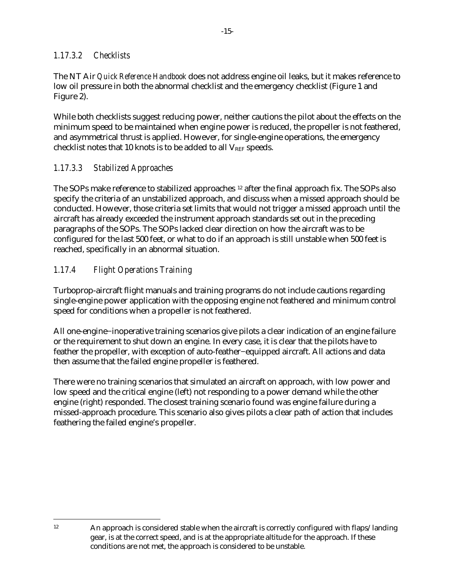#### <span id="page-18-0"></span>*1.17.3.2 Checklists*

The NT Air *Quick Reference Handbook* does not address engine oil leaks, but it makes reference to low oil pressure in both the abnormal checklist and the emergency checklist [\(Figure 1](#page-6-0) and [Figure 2\)](#page-6-1).

While both checklists suggest reducing power, neither cautions the pilot about the effects on the minimum speed to be maintained when engine power is reduced, the propeller is not feathered, and asymmetrical thrust is applied. However, for single-engine operations, the emergency checklist notes that 10 knots is to be added to all  $V_{REF}$  speeds.

#### <span id="page-18-1"></span>*1.17.3.3 Stabilized Approaches*

The SOPs make reference to stabilized approaches [12](#page-18-3) after the final approach fix. The SOPs also specify the criteria of an unstabilized approach, and discuss when a missed approach should be conducted. However, those criteria set limits that would not trigger a missed approach until the aircraft has already exceeded the instrument approach standards set out in the preceding paragraphs of the SOPs. The SOPs lacked clear direction on how the aircraft was to be configured for the last 500 feet, or what to do if an approach is still unstable when 500 feet is reached, specifically in an abnormal situation.

#### <span id="page-18-2"></span>*1.17.4 Flight Operations Training*

Turboprop-aircraft flight manuals and training programs do not include cautions regarding single-engine power application with the opposing engine not feathered and minimum control speed for conditions when a propeller is not feathered.

All one-engine−inoperative training scenarios give pilots a clear indication of an engine failure or the requirement to shut down an engine. In every case, it is clear that the pilots have to feather the propeller, with exception of auto-feather−equipped aircraft. All actions and data then assume that the failed engine propeller is feathered.

There were no training scenarios that simulated an aircraft on approach, with low power and low speed and the critical engine (left) not responding to a power demand while the other engine (right) responded. The closest training scenario found was engine failure during a missed-approach procedure. This scenario also gives pilots a clear path of action that includes feathering the failed engine's propeller.

<span id="page-18-3"></span> <sup>12</sup> An approach is considered stable when the aircraft is correctly configured with flaps/landing gear, is at the correct speed, and is at the appropriate altitude for the approach. If these conditions are not met, the approach is considered to be unstable.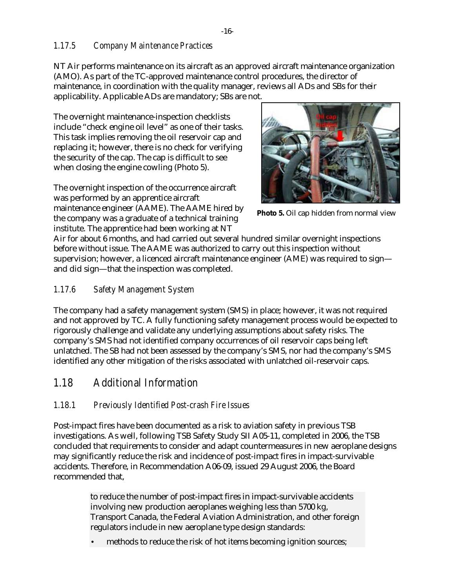#### <span id="page-19-0"></span>*1.17.5 Company Maintenance Practices*

NT Air performs maintenance on its aircraft as an approved aircraft maintenance organization (AMO). As part of the TC-approved maintenance control procedures, the director of maintenance, in coordination with the quality manager, reviews all ADs and SBs for their applicability. Applicable ADs are mandatory; SBs are not.

The overnight maintenance-inspection checklists include "check engine oil level" as one of their tasks. This task implies removing the oil reservoir cap and replacing it; however, there is no check for verifying the security of the cap. The cap is difficult to see when closing the engine cowling (Photo 5).

The overnight inspection of the occurrence aircraft was performed by an apprentice aircraft maintenance engineer (AAME). The AAME hired by the company was a graduate of a technical training institute. The apprentice had been working at NT

<span id="page-19-4"></span>

**Photo 5.** Oil cap hidden from normal view

Air for about 6 months, and had carried out several hundred similar overnight inspections before without issue. The AAME was authorized to carry out this inspection without supervision; however, a licenced aircraft maintenance engineer (AME) was required to sign and did sign—that the inspection was completed.

#### <span id="page-19-1"></span>*1.17.6 Safety Management System*

The company had a safety management system (SMS) in place; however, it was not required and not approved by TC. A fully functioning safety management process would be expected to rigorously challenge and validate any underlying assumptions about safety risks. The company's SMS had not identified company occurrences of oil reservoir caps being left unlatched. The SB had not been assessed by the company's SMS, nor had the company's SMS identified any other mitigation of the risks associated with unlatched oil-reservoir caps.

#### <span id="page-19-2"></span>*1.18 Additional Information*

#### <span id="page-19-3"></span>*1.18.1 Previously Identified Post-crash Fire Issues*

Post-impact fires have been documented as a risk to aviation safety in previous TSB investigations. As well, following TSB Safety Study SII A05-11, completed in 2006, the TSB concluded that requirements to consider and adapt countermeasures in new aeroplane designs may significantly reduce the risk and incidence of post-impact fires in impact-survivable accidents. Therefore, in Recommendation A06-09, issued 29 August 2006, the Board recommended that,

> to reduce the number of post-impact fires in impact-survivable accidents involving new production aeroplanes weighing less than 5700 kg, Transport Canada, the Federal Aviation Administration, and other foreign regulators include in new aeroplane type design standards:

methods to reduce the risk of hot items becoming ignition sources;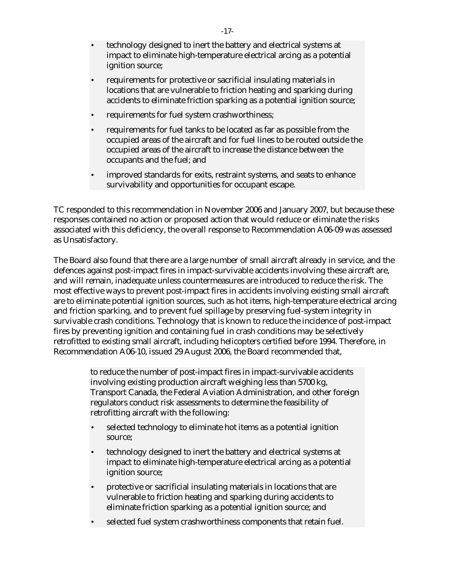- technology designed to inert the battery and electrical systems at impact to eliminate high-temperature electrical arcing as a potential ignition source;
- requirements for protective or sacrificial insulating materials in locations that are vulnerable to friction heating and sparking during accidents to eliminate friction sparking as a potential ignition source;
- requirements for fuel system crashworthiness;
- requirements for fuel tanks to be located as far as possible from the occupied areas of the aircraft and for fuel lines to be routed outside the occupied areas of the aircraft to increase the distance between the occupants and the fuel; and
- improved standards for exits, restraint systems, and seats to enhance survivability and opportunities for occupant escape.

TC responded to this recommendation in November 2006 and January 2007, but because these responses contained no action or proposed action that would reduce or eliminate the risks associated with this deficiency, the overall response to Recommendation A06-09 was assessed as Unsatisfactory.

The Board also found that there are a large number of small aircraft already in service, and the defences against post-impact fires in impact-survivable accidents involving these aircraft are, and will remain, inadequate unless countermeasures are introduced to reduce the risk. The most effective ways to prevent post-impact fires in accidents involving existing small aircraft are to eliminate potential ignition sources, such as hot items, high-temperature electrical arcing and friction sparking, and to prevent fuel spillage by preserving fuel-system integrity in survivable crash conditions. Technology that is known to reduce the incidence of post-impact fires by preventing ignition and containing fuel in crash conditions may be selectively retrofitted to existing small aircraft, including helicopters certified before 1994. Therefore, in Recommendation A06-10, issued 29 August 2006, the Board recommended that,

> to reduce the number of post-impact fires in impact-survivable accidents involving existing production aircraft weighing less than 5700 kg, Transport Canada, the Federal Aviation Administration, and other foreign regulators conduct risk assessments to determine the feasibility of retrofitting aircraft with the following:

- selected technology to eliminate hot items as a potential ignition source;
- technology designed to inert the battery and electrical systems at impact to eliminate high-temperature electrical arcing as a potential ignition source;
- protective or sacrificial insulating materials in locations that are vulnerable to friction heating and sparking during accidents to eliminate friction sparking as a potential ignition source; and
- selected fuel system crashworthiness components that retain fuel.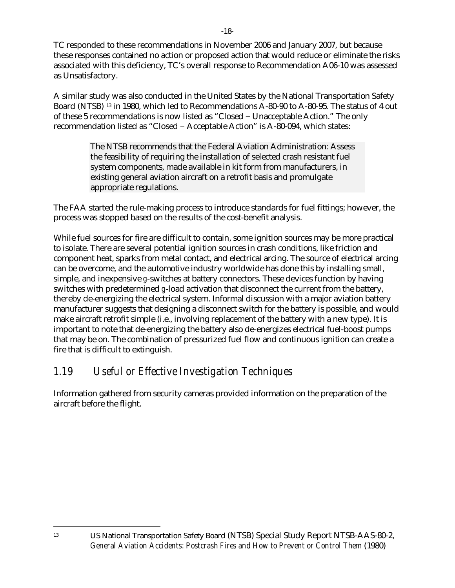TC responded to these recommendations in November 2006 and January 2007, but because these responses contained no action or proposed action that would reduce or eliminate the risks associated with this deficiency, TC's overall response to Recommendation A06-10 was assessed as Unsatisfactory.

A similar study was also conducted in the United States by the National Transportation Safety Board (NTSB) [13](#page-21-1) in 1980, which led to Recommendations A-80-90 to A-80-95. The status of 4 out of these 5 recommendations is now listed as "Closed − Unacceptable Action." The only recommendation listed as "Closed − Acceptable Action" is A-80-094, which states:

> The NTSB recommends that the Federal Aviation Administration: Assess the feasibility of requiring the installation of selected crash resistant fuel system components, made available in kit form from manufacturers, in existing general aviation aircraft on a retrofit basis and promulgate appropriate regulations.

The FAA started the rule-making process to introduce standards for fuel fittings; however, the process was stopped based on the results of the cost-benefit analysis.

While fuel sources for fire are difficult to contain, some ignition sources may be more practical to isolate. There are several potential ignition sources in crash conditions, like friction and component heat, sparks from metal contact, and electrical arcing. The source of electrical arcing can be overcome, and the automotive industry worldwide has done this by installing small, simple, and inexpensive *g*-switches at battery connectors. These devices function by having switches with predetermined *g*-load activation that disconnect the current from the battery, thereby de-energizing the electrical system. Informal discussion with a major aviation battery manufacturer suggests that designing a disconnect switch for the battery is possible, and would make aircraft retrofit simple (i.e., involving replacement of the battery with a new type). It is important to note that de-energizing the battery also de-energizes electrical fuel-boost pumps that may be on. The combination of pressurized fuel flow and continuous ignition can create a fire that is difficult to extinguish.

# <span id="page-21-0"></span>*1.19 Useful or Effective Investigation Techniques*

<span id="page-21-1"></span>Information gathered from security cameras provided information on the preparation of the aircraft before the flight.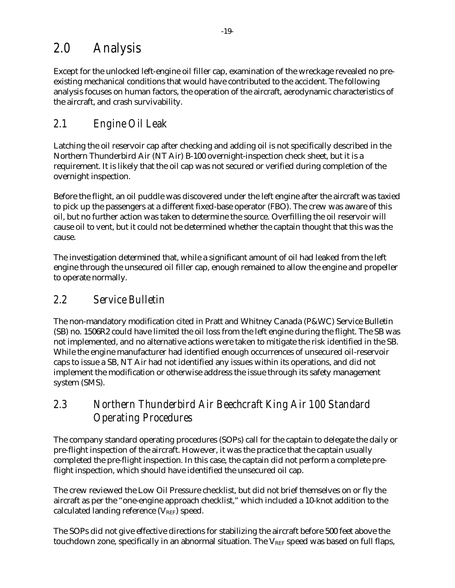# <span id="page-22-0"></span>*2.0 Analysis*

Except for the unlocked left-engine oil filler cap, examination of the wreckage revealed no preexisting mechanical conditions that would have contributed to the accident. The following analysis focuses on human factors, the operation of the aircraft, aerodynamic characteristics of the aircraft, and crash survivability.

# <span id="page-22-1"></span>*2.1 Engine Oil Leak*

Latching the oil reservoir cap after checking and adding oil is not specifically described in the Northern Thunderbird Air (NT Air) B-100 overnight-inspection check sheet, but it is a requirement. It is likely that the oil cap was not secured or verified during completion of the overnight inspection.

Before the flight, an oil puddle was discovered under the left engine after the aircraft was taxied to pick up the passengers at a different fixed-base operator (FBO). The crew was aware of this oil, but no further action was taken to determine the source. Overfilling the oil reservoir will cause oil to vent, but it could not be determined whether the captain thought that this was the cause.

The investigation determined that, while a significant amount of oil had leaked from the left engine through the unsecured oil filler cap, enough remained to allow the engine and propeller to operate normally.

## <span id="page-22-2"></span>*2.2 Service Bulletin*

The non-mandatory modification cited in Pratt and Whitney Canada (P&WC) Service Bulletin (SB) no. 1506R2 could have limited the oil loss from the left engine during the flight. The SB was not implemented, and no alternative actions were taken to mitigate the risk identified in the SB. While the engine manufacturer had identified enough occurrences of unsecured oil-reservoir caps to issue a SB, NT Air had not identified any issues within its operations, and did not implement the modification or otherwise address the issue through its safety management system (SMS).

# <span id="page-22-3"></span>*2.3 Northern Thunderbird Air Beechcraft King Air 100 Standard Operating Procedures*

The company standard operating procedures (SOPs) call for the captain to delegate the daily or pre-flight inspection of the aircraft. However, it was the practice that the captain usually completed the pre-flight inspection. In this case, the captain did not perform a complete preflight inspection, which should have identified the unsecured oil cap.

The crew reviewed the Low Oil Pressure checklist, but did not brief themselves on or fly the aircraft as per the "one-engine approach checklist," which included a 10-knot addition to the calculated landing reference  $(V_{REF})$  speed.

The SOPs did not give effective directions for stabilizing the aircraft before 500 feet above the touchdown zone, specifically in an abnormal situation. The  $V_{REF}$  speed was based on full flaps,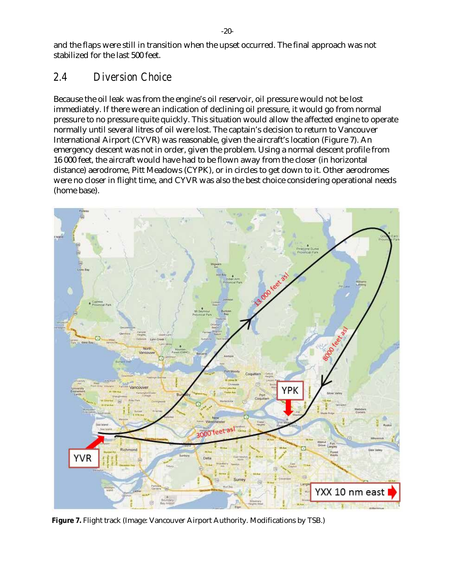and the flaps were still in transition when the upset occurred. The final approach was not stabilized for the last 500 feet.

### <span id="page-23-0"></span>*2.4 Diversion Choice*

Because the oil leak was from the engine's oil reservoir, oil pressure would not be lost immediately. If there were an indication of declining oil pressure, it would go from normal pressure to no pressure quite quickly. This situation would allow the affected engine to operate normally until several litres of oil were lost. The captain's decision to return to Vancouver International Airport (CYVR) was reasonable, given the aircraft's location [\(Figure 7\)](#page-23-1). An emergency descent was not in order, given the problem. Using a normal descent profile from 16 000 feet, the aircraft would have had to be flown away from the closer (in horizontal distance) aerodrome, Pitt Meadows (CYPK), or in circles to get down to it. Other aerodromes were no closer in flight time, and CYVR was also the best choice considering operational needs (home base).



<span id="page-23-1"></span>**Figure 7.** Flight track (Image: Vancouver Airport Authority. Modifications by TSB.)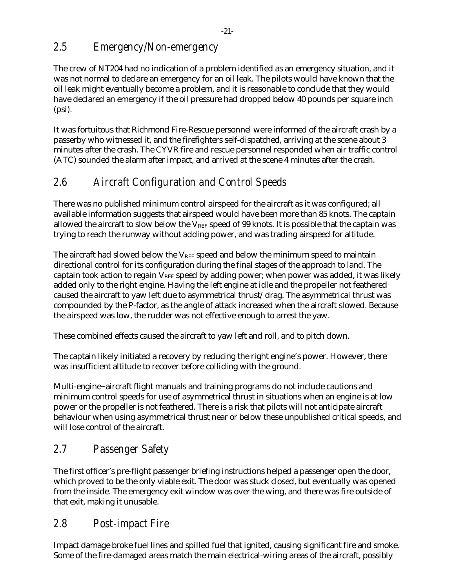# <span id="page-24-0"></span>*2.5 Emergency/Non-emergency*

The crew of NT204 had no indication of a problem identified as an emergency situation, and it was not normal to declare an emergency for an oil leak. The pilots would have known that the oil leak might eventually become a problem, and it is reasonable to conclude that they would have declared an emergency if the oil pressure had dropped below 40 pounds per square inch (psi).

It was fortuitous that Richmond Fire-Rescue personnel were informed of the aircraft crash by a passerby who witnessed it, and the firefighters self-dispatched, arriving at the scene about 3 minutes after the crash. The CYVR fire and rescue personnel responded when air traffic control (ATC) sounded the alarm after impact, and arrived at the scene 4 minutes after the crash.

# <span id="page-24-1"></span>*2.6 Aircraft Configuration and Control Speeds*

There was no published minimum control airspeed for the aircraft as it was configured; all available information suggests that airspeed would have been more than 85 knots. The captain allowed the aircraft to slow below the  $V_{REF}$  speed of 99 knots. It is possible that the captain was trying to reach the runway without adding power, and was trading airspeed for altitude.

The aircraft had slowed below the  $V_{REF}$  speed and below the minimum speed to maintain directional control for its configuration during the final stages of the approach to land. The captain took action to regain  $V_{REF}$  speed by adding power; when power was added, it was likely added only to the right engine. Having the left engine at idle and the propeller not feathered caused the aircraft to yaw left due to asymmetrical thrust/drag. The asymmetrical thrust was compounded by the P-factor, as the angle of attack increased when the aircraft slowed. Because the airspeed was low, the rudder was not effective enough to arrest the yaw.

These combined effects caused the aircraft to yaw left and roll, and to pitch down.

The captain likely initiated a recovery by reducing the right engine's power. However, there was insufficient altitude to recover before colliding with the ground.

Multi-engine−aircraft flight manuals and training programs do not include cautions and minimum control speeds for use of asymmetrical thrust in situations when an engine is at low power or the propeller is not feathered. There is a risk that pilots will not anticipate aircraft behaviour when using asymmetrical thrust near or below these unpublished critical speeds, and will lose control of the aircraft.

# <span id="page-24-2"></span>*2.7 Passenger Safety*

The first officer's pre-flight passenger briefing instructions helped a passenger open the door, which proved to be the only viable exit. The door was stuck closed, but eventually was opened from the inside. The emergency exit window was over the wing, and there was fire outside of that exit, making it unusable.

### <span id="page-24-3"></span>*2.8 Post-impact Fire*

Impact damage broke fuel lines and spilled fuel that ignited, causing significant fire and smoke. Some of the fire-damaged areas match the main electrical-wiring areas of the aircraft, possibly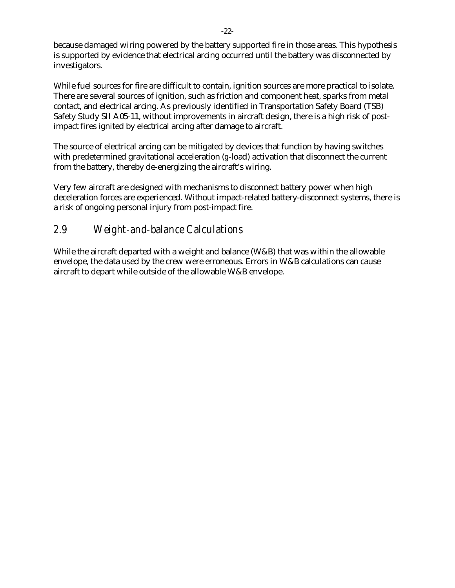because damaged wiring powered by the battery supported fire in those areas. This hypothesis is supported by evidence that electrical arcing occurred until the battery was disconnected by investigators.

While fuel sources for fire are difficult to contain, ignition sources are more practical to isolate. There are several sources of ignition, such as friction and component heat, sparks from metal contact, and electrical arcing. As previously identified in Transportation Safety Board (TSB) Safety Study SII A05-11, without improvements in aircraft design, there is a high risk of postimpact fires ignited by electrical arcing after damage to aircraft.

The source of electrical arcing can be mitigated by devices that function by having switches with predetermined gravitational acceleration (*g*-load) activation that disconnect the current from the battery, thereby de-energizing the aircraft's wiring.

Very few aircraft are designed with mechanisms to disconnect battery power when high deceleration forces are experienced. Without impact-related battery-disconnect systems, there is a risk of ongoing personal injury from post-impact fire.

# <span id="page-25-0"></span>*2.9 Weight-and-balance Calculations*

While the aircraft departed with a weight and balance (W&B) that was within the allowable envelope, the data used by the crew were erroneous. Errors in W&B calculations can cause aircraft to depart while outside of the allowable W&B envelope.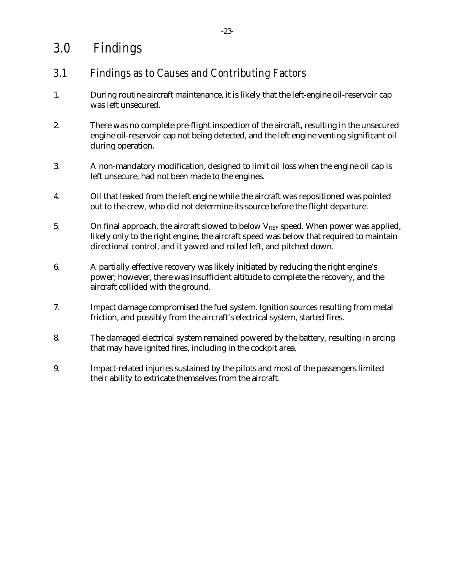# <span id="page-26-0"></span>*3.0 Findings*

# <span id="page-26-1"></span>*3.1 Findings as to Causes and Contributing Factors*

- 1. During routine aircraft maintenance, it is likely that the left-engine oil-reservoir cap was left unsecured.
- 2. There was no complete pre-flight inspection of the aircraft, resulting in the unsecured engine oil-reservoir cap not being detected, and the left engine venting significant oil during operation.
- 3. A non-mandatory modification, designed to limit oil loss when the engine oil cap is left unsecure, had not been made to the engines.
- 4. Oil that leaked from the left engine while the aircraft was repositioned was pointed out to the crew, who did not determine its source before the flight departure.
- 5. On final approach, the aircraft slowed to below  $V_{REF}$  speed. When power was applied, likely only to the right engine, the aircraft speed was below that required to maintain directional control, and it yawed and rolled left, and pitched down.
- 6. A partially effective recovery was likely initiated by reducing the right engine's power; however, there was insufficient altitude to complete the recovery, and the aircraft collided with the ground.
- 7. Impact damage compromised the fuel system. Ignition sources resulting from metal friction, and possibly from the aircraft's electrical system, started fires.
- 8. The damaged electrical system remained powered by the battery, resulting in arcing that may have ignited fires, including in the cockpit area.
- 9. Impact-related injuries sustained by the pilots and most of the passengers limited their ability to extricate themselves from the aircraft.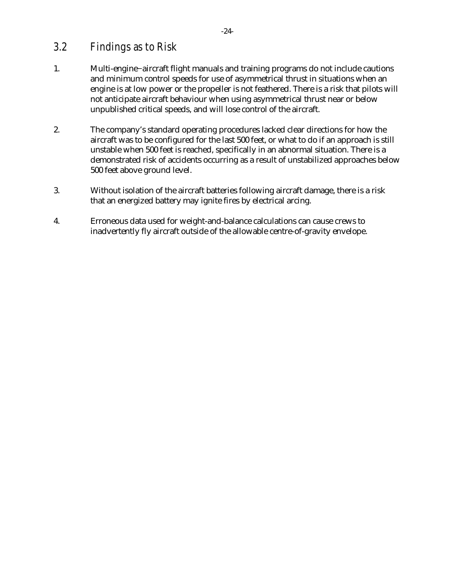### <span id="page-27-0"></span>*3.2 Findings as to Risk*

- 1. Multi-engine−aircraft flight manuals and training programs do not include cautions and minimum control speeds for use of asymmetrical thrust in situations when an engine is at low power or the propeller is not feathered. There is a risk that pilots will not anticipate aircraft behaviour when using asymmetrical thrust near or below unpublished critical speeds, and will lose control of the aircraft.
- 2. The company's standard operating procedures lacked clear directions for how the aircraft was to be configured for the last 500 feet, or what to do if an approach is still unstable when 500 feet is reached, specifically in an abnormal situation. There is a demonstrated risk of accidents occurring as a result of unstabilized approaches below 500 feet above ground level.
- 3. Without isolation of the aircraft batteries following aircraft damage, there is a risk that an energized battery may ignite fires by electrical arcing.
- 4. Erroneous data used for weight-and-balance calculations can cause crews to inadvertently fly aircraft outside of the allowable centre-of-gravity envelope.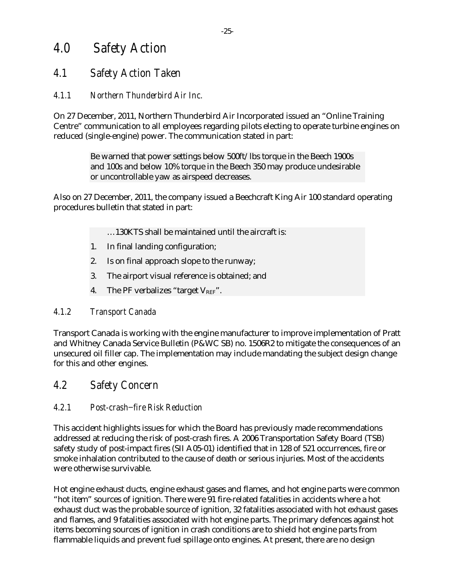# <span id="page-28-0"></span>*4.0 Safety Action*

## <span id="page-28-1"></span>*4.1 Safety Action Taken*

#### <span id="page-28-2"></span>*4.1.1 Northern Thunderbird Air Inc.*

On 27 December, 2011, Northern Thunderbird Air Incorporated issued an "Online Training Centre" communication to all employees regarding pilots electing to operate turbine engines on reduced (single-engine) power. The communication stated in part:

> Be warned that power settings below 500ft/lbs torque in the Beech 1900s and 100s and below 10% torque in the Beech 350 may produce undesirable or uncontrollable yaw as airspeed decreases.

Also on 27 December, 2011, the company issued a Beechcraft King Air 100 standard operating procedures bulletin that stated in part:

- …130KTS shall be maintained until the aircraft is:
- 1. In final landing configuration;
- 2. Is on final approach slope to the runway;
- 3. The airport visual reference is obtained; and
- 4. The PF verbalizes "target  $V_{REF}$ ".

#### <span id="page-28-3"></span>*4.1.2 Transport Canada*

Transport Canada is working with the engine manufacturer to improve implementation of Pratt and Whitney Canada Service Bulletin (P&WC SB) no. 1506R2 to mitigate the consequences of an unsecured oil filler cap. The implementation may include mandating the subject design change for this and other engines.

#### <span id="page-28-4"></span>*4.2 Safety Concern*

#### <span id="page-28-5"></span>*4.2.1 Post-crash−fire Risk Reduction*

This accident highlights issues for which the Board has previously made recommendations addressed at reducing the risk of post-crash fires. A 2006 Transportation Safety Board (TSB) safety study of post-impact fires (SII A05-01) identified that in 128 of 521 occurrences, fire or smoke inhalation contributed to the cause of death or serious injuries. Most of the accidents were otherwise survivable.

Hot engine exhaust ducts, engine exhaust gases and flames, and hot engine parts were common "hot item" sources of ignition. There were 91 fire-related fatalities in accidents where a hot exhaust duct was the probable source of ignition, 32 fatalities associated with hot exhaust gases and flames, and 9 fatalities associated with hot engine parts. The primary defences against hot items becoming sources of ignition in crash conditions are to shield hot engine parts from flammable liquids and prevent fuel spillage onto engines. At present, there are no design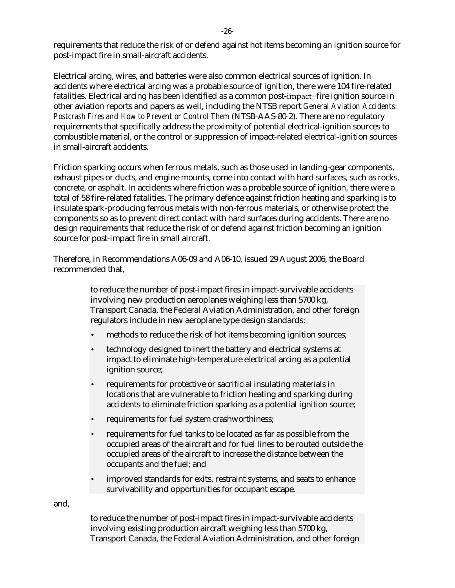requirements that reduce the risk of or defend against hot items becoming an ignition source for post-impact fire in small-aircraft accidents.

Electrical arcing, wires, and batteries were also common electrical sources of ignition. In accidents where electrical arcing was a probable source of ignition, there were 104 fire-related fatalities. Electrical arcing has been identified as a common post-impact−fire ignition source in other aviation reports and papers as well, including the NTSB report *General Aviation Accidents: Postcrash Fires and How to Prevent or Control Them* (NTSB-AAS-80-2). There are no regulatory requirements that specifically address the proximity of potential electrical-ignition sources to combustible material, or the control or suppression of impact-related electrical-ignition sources in small-aircraft accidents.

Friction sparking occurs when ferrous metals, such as those used in landing-gear components, exhaust pipes or ducts, and engine mounts, come into contact with hard surfaces, such as rocks, concrete, or asphalt. In accidents where friction was a probable source of ignition, there were a total of 58 fire-related fatalities. The primary defence against friction heating and sparking is to insulate spark-producing ferrous metals with non-ferrous materials, or otherwise protect the components so as to prevent direct contact with hard surfaces during accidents. There are no design requirements that reduce the risk of or defend against friction becoming an ignition source for post-impact fire in small aircraft.

Therefore, in Recommendations A06-09 and A06-10, issued 29 August 2006, the Board recommended that,

> to reduce the number of post-impact fires in impact-survivable accidents involving new production aeroplanes weighing less than 5700 kg, Transport Canada, the Federal Aviation Administration, and other foreign regulators include in new aeroplane type design standards:

- methods to reduce the risk of hot items becoming ignition sources;
- technology designed to inert the battery and electrical systems at impact to eliminate high-temperature electrical arcing as a potential ignition source;
- requirements for protective or sacrificial insulating materials in locations that are vulnerable to friction heating and sparking during accidents to eliminate friction sparking as a potential ignition source;
- requirements for fuel system crashworthiness;
- requirements for fuel tanks to be located as far as possible from the occupied areas of the aircraft and for fuel lines to be routed outside the occupied areas of the aircraft to increase the distance between the occupants and the fuel; and
- improved standards for exits, restraint systems, and seats to enhance survivability and opportunities for occupant escape.

and,

to reduce the number of post-impact fires in impact-survivable accidents involving existing production aircraft weighing less than 5700 kg, Transport Canada, the Federal Aviation Administration, and other foreign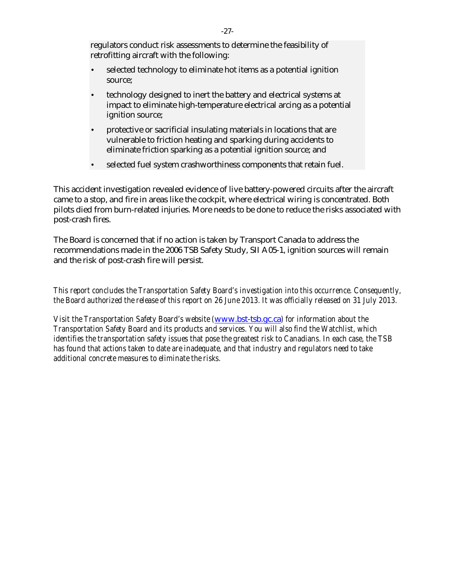regulators conduct risk assessments to determine the feasibility of retrofitting aircraft with the following:

- selected technology to eliminate hot items as a potential ignition source;
- technology designed to inert the battery and electrical systems at impact to eliminate high-temperature electrical arcing as a potential ignition source;
- protective or sacrificial insulating materials in locations that are vulnerable to friction heating and sparking during accidents to eliminate friction sparking as a potential ignition source; and
- selected fuel system crashworthiness components that retain fuel.

This accident investigation revealed evidence of live battery-powered circuits after the aircraft came to a stop, and fire in areas like the cockpit, where electrical wiring is concentrated. Both pilots died from burn-related injuries. More needs to be done to reduce the risks associated with post-crash fires.

The Board is concerned that if no action is taken by Transport Canada to address the recommendations made in the 2006 TSB Safety Study, SII A05-1, ignition sources will remain and the risk of post-crash fire will persist.

*This report concludes the Transportation Safety Board's investigation into this occurrence. Consequently, the Board authorized the release of this report on 26 June 2013. It was officially released on 31 July 2013.*

*Visit the Transportation Safety Board's website (*[www.bst-tsb.gc.ca](http://www.bst-tsb.gc.ca/)*) for information about the Transportation Safety Board and its products and services. You will also find the Watchlist, which identifies the transportation safety issues that pose the greatest risk to Canadians. In each case, the TSB has found that actions taken to date are inadequate, and that industry and regulators need to take additional concrete measures to eliminate the risks.*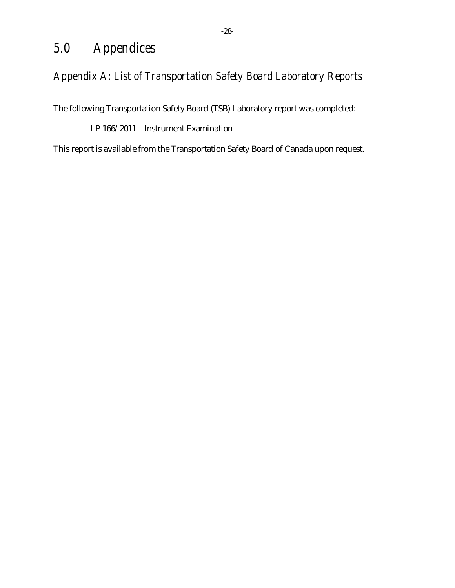# <span id="page-31-0"></span>*5.0 Appendices*

# <span id="page-31-1"></span>*Appendix A: List of Transportation Safety Board Laboratory Reports*

The following Transportation Safety Board (TSB) Laboratory report was completed:

LP 166/2011 – Instrument Examination

This report is available from the Transportation Safety Board of Canada upon request.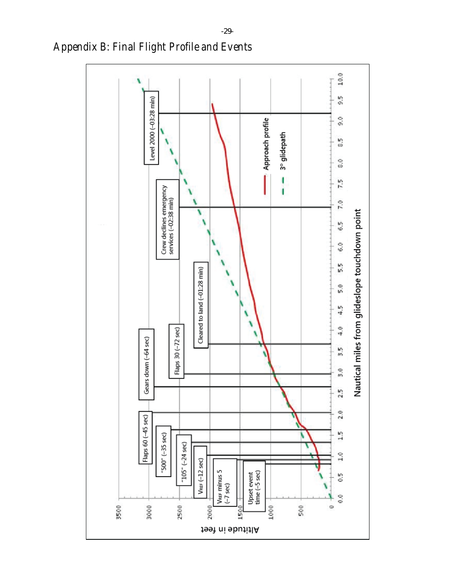

<span id="page-32-0"></span>*Appendix B: Final Flight Profile and Events*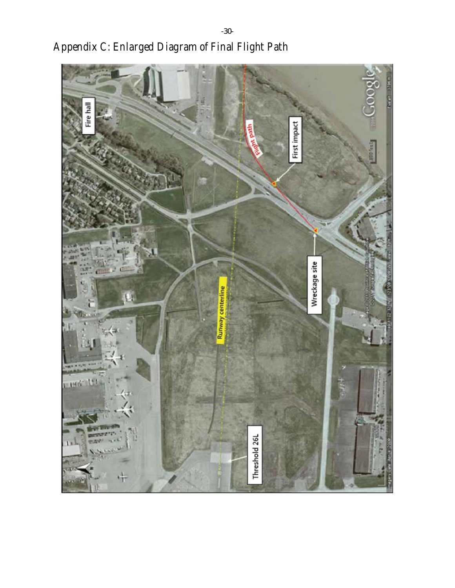<span id="page-33-0"></span>

*Appendix C: Enlarged Diagram of Final Flight Path*